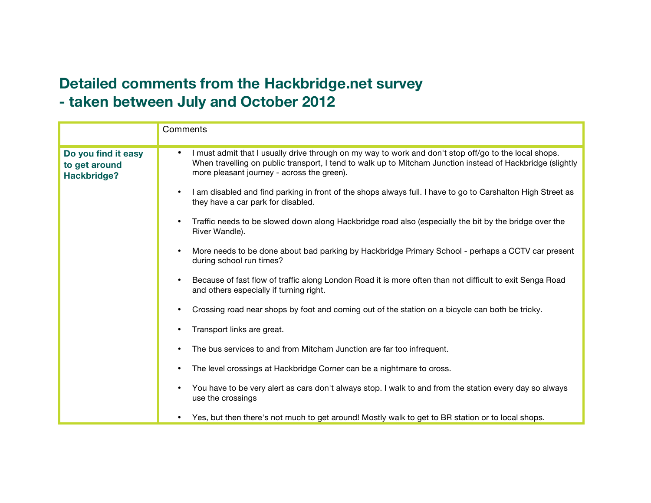## **Detailed comments from the Hackbridge.net survey - taken between July and October 2012**

|                                                            | Comments                                                                                                                                                                                                                                                                       |
|------------------------------------------------------------|--------------------------------------------------------------------------------------------------------------------------------------------------------------------------------------------------------------------------------------------------------------------------------|
| Do you find it easy<br>to get around<br><b>Hackbridge?</b> | I must admit that I usually drive through on my way to work and don't stop off/go to the local shops.<br>$\bullet$<br>When travelling on public transport, I tend to walk up to Mitcham Junction instead of Hackbridge (slightly<br>more pleasant journey - across the green). |
|                                                            | I am disabled and find parking in front of the shops always full. I have to go to Carshalton High Street as<br>they have a car park for disabled.                                                                                                                              |
|                                                            | Traffic needs to be slowed down along Hackbridge road also (especially the bit by the bridge over the<br>River Wandle).                                                                                                                                                        |
|                                                            | More needs to be done about bad parking by Hackbridge Primary School - perhaps a CCTV car present<br>during school run times?                                                                                                                                                  |
|                                                            | Because of fast flow of traffic along London Road it is more often than not difficult to exit Senga Road<br>$\bullet$<br>and others especially if turning right.                                                                                                               |
|                                                            | Crossing road near shops by foot and coming out of the station on a bicycle can both be tricky.                                                                                                                                                                                |
|                                                            | Transport links are great.                                                                                                                                                                                                                                                     |
|                                                            | The bus services to and from Mitcham Junction are far too infrequent.                                                                                                                                                                                                          |
|                                                            | The level crossings at Hackbridge Corner can be a nightmare to cross.                                                                                                                                                                                                          |
|                                                            | You have to be very alert as cars don't always stop. I walk to and from the station every day so always<br>use the crossings                                                                                                                                                   |
|                                                            | Yes, but then there's not much to get around! Mostly walk to get to BR station or to local shops.                                                                                                                                                                              |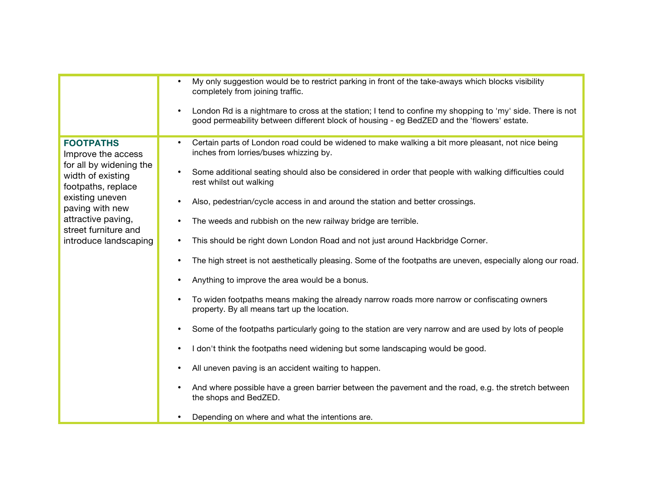| Certain parts of London road could be widened to make walking a bit more pleasant, not nice being<br><b>FOOTPATHS</b><br>inches from lorries/buses whizzing by.<br>Improve the access<br>for all by widening the<br>Some additional seating should also be considered in order that people with walking difficulties could<br>width of existing<br>rest whilst out walking<br>footpaths, replace<br>existing uneven<br>Also, pedestrian/cycle access in and around the station and better crossings.<br>paving with new<br>attractive paving,<br>The weeds and rubbish on the new railway bridge are terrible.<br>street furniture and<br>introduce landscaping<br>This should be right down London Road and not just around Hackbridge Corner.<br>Anything to improve the area would be a bonus.<br>To widen footpaths means making the already narrow roads more narrow or confiscating owners | My only suggestion would be to restrict parking in front of the take-aways which blocks visibility<br>completely from joining traffic.<br>London Rd is a nightmare to cross at the station; I tend to confine my shopping to 'my' side. There is not<br>good permeability between different block of housing - eg BedZED and the 'flowers' estate. |
|--------------------------------------------------------------------------------------------------------------------------------------------------------------------------------------------------------------------------------------------------------------------------------------------------------------------------------------------------------------------------------------------------------------------------------------------------------------------------------------------------------------------------------------------------------------------------------------------------------------------------------------------------------------------------------------------------------------------------------------------------------------------------------------------------------------------------------------------------------------------------------------------------|----------------------------------------------------------------------------------------------------------------------------------------------------------------------------------------------------------------------------------------------------------------------------------------------------------------------------------------------------|
| property. By all means tart up the location.<br>Some of the footpaths particularly going to the station are very narrow and are used by lots of people<br>I don't think the footpaths need widening but some landscaping would be good.<br>All uneven paving is an accident waiting to happen.<br>And where possible have a green barrier between the pavement and the road, e.g. the stretch between<br>the shops and BedZED.<br>Depending on where and what the intentions are.                                                                                                                                                                                                                                                                                                                                                                                                                | The high street is not aesthetically pleasing. Some of the footpaths are uneven, especially along our road.                                                                                                                                                                                                                                        |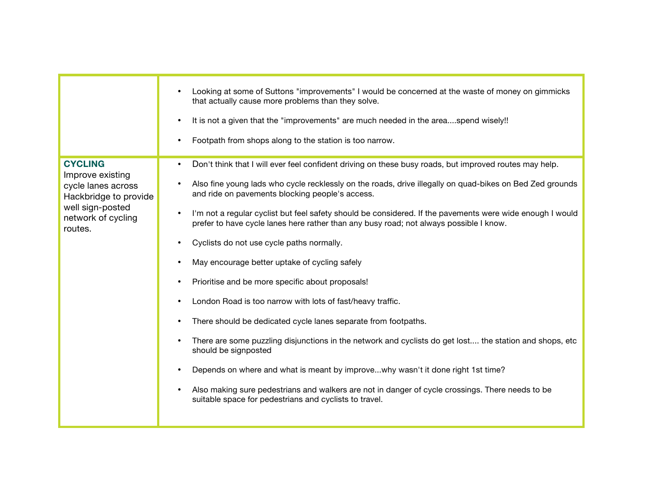|                                                                                                                                        | Looking at some of Suttons "improvements" I would be concerned at the waste of money on gimmicks<br>$\bullet$<br>that actually cause more problems than they solve.<br>It is not a given that the "improvements" are much needed in the areaspend wisely!!<br>$\bullet$<br>Footpath from shops along to the station is too narrow.<br>$\bullet$                                                                                                                                                                                                                                                                                                                                                                                                                                                                                                                                                                                                                                                                                                                                                                                                                                                                                                                                      |
|----------------------------------------------------------------------------------------------------------------------------------------|--------------------------------------------------------------------------------------------------------------------------------------------------------------------------------------------------------------------------------------------------------------------------------------------------------------------------------------------------------------------------------------------------------------------------------------------------------------------------------------------------------------------------------------------------------------------------------------------------------------------------------------------------------------------------------------------------------------------------------------------------------------------------------------------------------------------------------------------------------------------------------------------------------------------------------------------------------------------------------------------------------------------------------------------------------------------------------------------------------------------------------------------------------------------------------------------------------------------------------------------------------------------------------------|
| <b>CYCLING</b><br>Improve existing<br>cycle lanes across<br>Hackbridge to provide<br>well sign-posted<br>network of cycling<br>routes. | Don't think that I will ever feel confident driving on these busy roads, but improved routes may help.<br>$\bullet$<br>Also fine young lads who cycle recklessly on the roads, drive illegally on quad-bikes on Bed Zed grounds<br>$\bullet$<br>and ride on pavements blocking people's access.<br>I'm not a regular cyclist but feel safety should be considered. If the pavements were wide enough I would<br>prefer to have cycle lanes here rather than any busy road; not always possible I know.<br>Cyclists do not use cycle paths normally.<br>$\bullet$<br>May encourage better uptake of cycling safely<br>$\bullet$<br>Prioritise and be more specific about proposals!<br>$\bullet$<br>London Road is too narrow with lots of fast/heavy traffic.<br>$\bullet$<br>There should be dedicated cycle lanes separate from footpaths.<br>$\bullet$<br>There are some puzzling disjunctions in the network and cyclists do get lost the station and shops, etc<br>$\bullet$<br>should be signposted<br>Depends on where and what is meant by improvewhy wasn't it done right 1st time?<br>$\bullet$<br>Also making sure pedestrians and walkers are not in danger of cycle crossings. There needs to be<br>$\bullet$<br>suitable space for pedestrians and cyclists to travel. |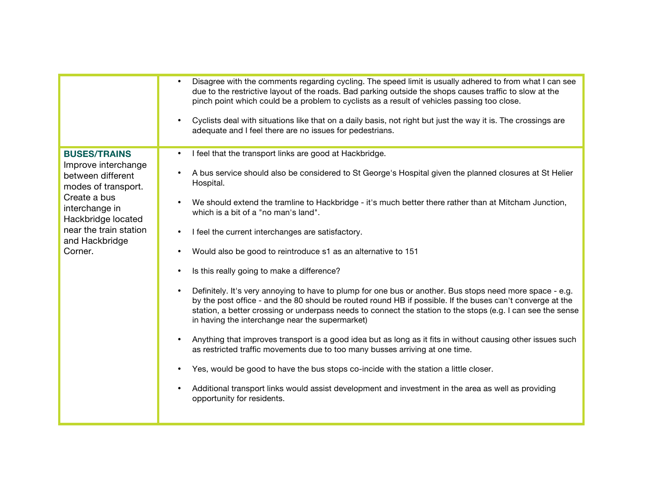|                                                                                                                                                                                                       | Disagree with the comments regarding cycling. The speed limit is usually adhered to from what I can see<br>due to the restrictive layout of the roads. Bad parking outside the shops causes traffic to slow at the<br>pinch point which could be a problem to cyclists as a result of vehicles passing too close.<br>Cyclists deal with situations like that on a daily basis, not right but just the way it is. The crossings are<br>adequate and I feel there are no issues for pedestrians.                                                                                                                                                                                                                                                                                                                                                                                                                                                                                                                                                                                                                                                                                                                                                                                                                              |
|-------------------------------------------------------------------------------------------------------------------------------------------------------------------------------------------------------|-----------------------------------------------------------------------------------------------------------------------------------------------------------------------------------------------------------------------------------------------------------------------------------------------------------------------------------------------------------------------------------------------------------------------------------------------------------------------------------------------------------------------------------------------------------------------------------------------------------------------------------------------------------------------------------------------------------------------------------------------------------------------------------------------------------------------------------------------------------------------------------------------------------------------------------------------------------------------------------------------------------------------------------------------------------------------------------------------------------------------------------------------------------------------------------------------------------------------------------------------------------------------------------------------------------------------------|
| <b>BUSES/TRAINS</b><br>Improve interchange<br>between different<br>modes of transport.<br>Create a bus<br>interchange in<br>Hackbridge located<br>near the train station<br>and Hackbridge<br>Corner. | I feel that the transport links are good at Hackbridge.<br>A bus service should also be considered to St George's Hospital given the planned closures at St Helier<br>Hospital.<br>We should extend the tramline to Hackbridge - it's much better there rather than at Mitcham Junction,<br>which is a bit of a "no man's land".<br>I feel the current interchanges are satisfactory.<br>Would also be good to reintroduce s1 as an alternative to 151<br>Is this really going to make a difference?<br>Definitely. It's very annoying to have to plump for one bus or another. Bus stops need more space - e.g.<br>by the post office - and the 80 should be routed round HB if possible. If the buses can't converge at the<br>station, a better crossing or underpass needs to connect the station to the stops (e.g. I can see the sense<br>in having the interchange near the supermarket)<br>Anything that improves transport is a good idea but as long as it fits in without causing other issues such<br>as restricted traffic movements due to too many busses arriving at one time.<br>Yes, would be good to have the bus stops co-incide with the station a little closer.<br>Additional transport links would assist development and investment in the area as well as providing<br>opportunity for residents. |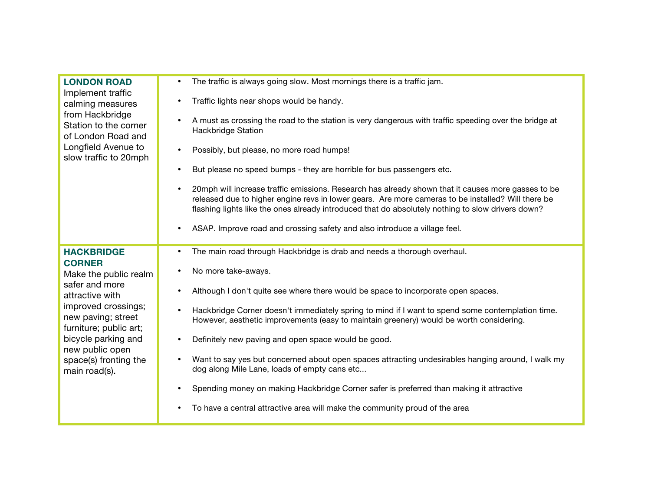| <b>LONDON ROAD</b><br>Implement traffic<br>calming measures<br>from Hackbridge<br>Station to the corner<br>of London Road and<br>Longfield Avenue to<br>slow traffic to 20mph | The traffic is always going slow. Most mornings there is a traffic jam.<br>Traffic lights near shops would be handy.<br>A must as crossing the road to the station is very dangerous with traffic speeding over the bridge at<br><b>Hackbridge Station</b><br>Possibly, but please, no more road humps!<br>But please no speed bumps - they are horrible for bus passengers etc.<br>20mph will increase traffic emissions. Research has already shown that it causes more gasses to be<br>released due to higher engine revs in lower gears. Are more cameras to be installed? Will there be<br>flashing lights like the ones already introduced that do absolutely nothing to slow drivers down?<br>ASAP. Improve road and crossing safety and also introduce a village feel. |
|-------------------------------------------------------------------------------------------------------------------------------------------------------------------------------|--------------------------------------------------------------------------------------------------------------------------------------------------------------------------------------------------------------------------------------------------------------------------------------------------------------------------------------------------------------------------------------------------------------------------------------------------------------------------------------------------------------------------------------------------------------------------------------------------------------------------------------------------------------------------------------------------------------------------------------------------------------------------------|
| <b>HACKBRIDGE</b>                                                                                                                                                             | The main road through Hackbridge is drab and needs a thorough overhaul.                                                                                                                                                                                                                                                                                                                                                                                                                                                                                                                                                                                                                                                                                                        |
| <b>CORNER</b>                                                                                                                                                                 | $\bullet$                                                                                                                                                                                                                                                                                                                                                                                                                                                                                                                                                                                                                                                                                                                                                                      |
| Make the public realm                                                                                                                                                         | No more take-aways.                                                                                                                                                                                                                                                                                                                                                                                                                                                                                                                                                                                                                                                                                                                                                            |
| safer and more                                                                                                                                                                | Although I don't quite see where there would be space to incorporate open spaces.                                                                                                                                                                                                                                                                                                                                                                                                                                                                                                                                                                                                                                                                                              |
| attractive with                                                                                                                                                               | $\bullet$                                                                                                                                                                                                                                                                                                                                                                                                                                                                                                                                                                                                                                                                                                                                                                      |
| improved crossings;                                                                                                                                                           | Hackbridge Corner doesn't immediately spring to mind if I want to spend some contemplation time.                                                                                                                                                                                                                                                                                                                                                                                                                                                                                                                                                                                                                                                                               |
| new paving; street                                                                                                                                                            | However, aesthetic improvements (easy to maintain greenery) would be worth considering.                                                                                                                                                                                                                                                                                                                                                                                                                                                                                                                                                                                                                                                                                        |
| furniture; public art;                                                                                                                                                        | Definitely new paving and open space would be good.                                                                                                                                                                                                                                                                                                                                                                                                                                                                                                                                                                                                                                                                                                                            |
| bicycle parking and                                                                                                                                                           | Want to say yes but concerned about open spaces attracting undesirables hanging around, I walk my                                                                                                                                                                                                                                                                                                                                                                                                                                                                                                                                                                                                                                                                              |
| new public open                                                                                                                                                               | dog along Mile Lane, loads of empty cans etc                                                                                                                                                                                                                                                                                                                                                                                                                                                                                                                                                                                                                                                                                                                                   |
| space(s) fronting the                                                                                                                                                         | Spending money on making Hackbridge Corner safer is preferred than making it attractive                                                                                                                                                                                                                                                                                                                                                                                                                                                                                                                                                                                                                                                                                        |
| main road(s).                                                                                                                                                                 | To have a central attractive area will make the community proud of the area                                                                                                                                                                                                                                                                                                                                                                                                                                                                                                                                                                                                                                                                                                    |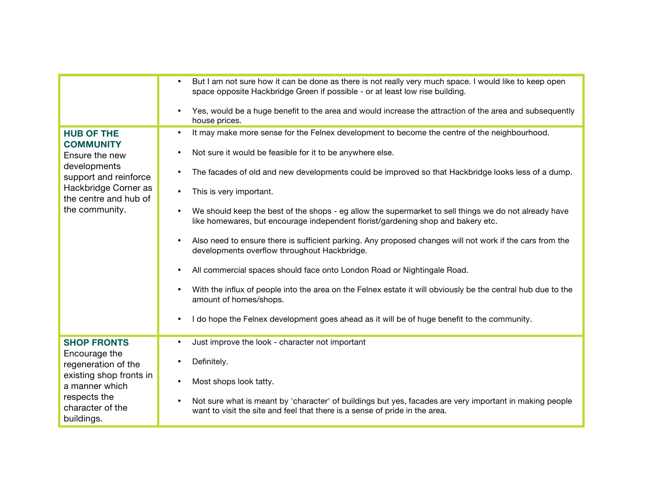|                                                                                                                                                                     | But I am not sure how it can be done as there is not really very much space. I would like to keep open<br>$\bullet$<br>space opposite Hackbridge Green if possible - or at least low rise building.<br>Yes, would be a huge benefit to the area and would increase the attraction of the area and subsequently<br>house prices.                                                                                                                                                                                                                                                                                                                                                                                                                                                                                                                                                                                                                                                                                     |
|---------------------------------------------------------------------------------------------------------------------------------------------------------------------|---------------------------------------------------------------------------------------------------------------------------------------------------------------------------------------------------------------------------------------------------------------------------------------------------------------------------------------------------------------------------------------------------------------------------------------------------------------------------------------------------------------------------------------------------------------------------------------------------------------------------------------------------------------------------------------------------------------------------------------------------------------------------------------------------------------------------------------------------------------------------------------------------------------------------------------------------------------------------------------------------------------------|
| <b>HUB OF THE</b><br><b>COMMUNITY</b><br>Ensure the new<br>developments<br>support and reinforce<br>Hackbridge Corner as<br>the centre and hub of<br>the community. | It may make more sense for the Felnex development to become the centre of the neighbourhood.<br>$\bullet$<br>Not sure it would be feasible for it to be anywhere else.<br>$\bullet$<br>The facades of old and new developments could be improved so that Hackbridge looks less of a dump.<br>This is very important.<br>We should keep the best of the shops - eg allow the supermarket to sell things we do not already have<br>like homewares, but encourage independent florist/gardening shop and bakery etc.<br>Also need to ensure there is sufficient parking. Any proposed changes will not work if the cars from the<br>$\bullet$<br>developments overflow throughout Hackbridge.<br>All commercial spaces should face onto London Road or Nightingale Road.<br>With the influx of people into the area on the Felnex estate it will obviously be the central hub due to the<br>amount of homes/shops.<br>I do hope the Felnex development goes ahead as it will be of huge benefit to the community.<br>٠ |
| <b>SHOP FRONTS</b><br>Encourage the<br>regeneration of the<br>existing shop fronts in<br>a manner which<br>respects the<br>character of the<br>buildings.           | Just improve the look - character not important<br>$\bullet$<br>Definitely.<br>Most shops look tatty.<br>$\bullet$<br>Not sure what is meant by 'character' of buildings but yes, facades are very important in making people<br>$\bullet$<br>want to visit the site and feel that there is a sense of pride in the area.                                                                                                                                                                                                                                                                                                                                                                                                                                                                                                                                                                                                                                                                                           |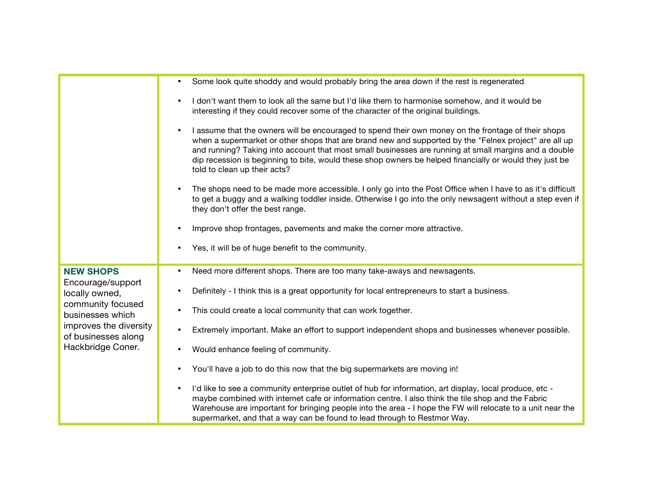|                                                                              | Some look quite shoddy and would probably bring the area down if the rest is regenerated                                                                                                                                                                                                                                                                                                                                                                         |
|------------------------------------------------------------------------------|------------------------------------------------------------------------------------------------------------------------------------------------------------------------------------------------------------------------------------------------------------------------------------------------------------------------------------------------------------------------------------------------------------------------------------------------------------------|
|                                                                              | I don't want them to look all the same but I'd like them to harmonise somehow, and it would be<br>interesting if they could recover some of the character of the original buildings.                                                                                                                                                                                                                                                                             |
|                                                                              | I assume that the owners will be encouraged to spend their own money on the frontage of their shops<br>when a supermarket or other shops that are brand new and supported by the "Felnex project" are all up<br>and running? Taking into account that most small businesses are running at small margins and a double<br>dip recession is beginning to bite, would these shop owners be helped financially or would they just be<br>told to clean up their acts? |
|                                                                              | The shops need to be made more accessible. I only go into the Post Office when I have to as it's difficult<br>to get a buggy and a walking toddler inside. Otherwise I go into the only newsagent without a step even if<br>they don't offer the best range.                                                                                                                                                                                                     |
|                                                                              | Improve shop frontages, pavements and make the corner more attractive.                                                                                                                                                                                                                                                                                                                                                                                           |
|                                                                              | Yes, it will be of huge benefit to the community.                                                                                                                                                                                                                                                                                                                                                                                                                |
| <b>NEW SHOPS</b>                                                             | Need more different shops. There are too many take-aways and newsagents.                                                                                                                                                                                                                                                                                                                                                                                         |
| Encourage/support<br>locally owned,<br>community focused<br>businesses which | Definitely - I think this is a great opportunity for local entrepreneurs to start a business.                                                                                                                                                                                                                                                                                                                                                                    |
|                                                                              | This could create a local community that can work together.                                                                                                                                                                                                                                                                                                                                                                                                      |
| improves the diversity<br>of businesses along                                | Extremely important. Make an effort to support independent shops and businesses whenever possible.                                                                                                                                                                                                                                                                                                                                                               |
| Hackbridge Coner.                                                            | Would enhance feeling of community.                                                                                                                                                                                                                                                                                                                                                                                                                              |
|                                                                              | You'll have a job to do this now that the big supermarkets are moving in!                                                                                                                                                                                                                                                                                                                                                                                        |
|                                                                              | I'd like to see a community enterprise outlet of hub for information, art display, local produce, etc -<br>maybe combined with internet cafe or information centre. I also think the tile shop and the Fabric<br>Warehouse are important for bringing people into the area - I hope the FW will relocate to a unit near the<br>supermarket, and that a way can be found to lead through to Restmor Way.                                                          |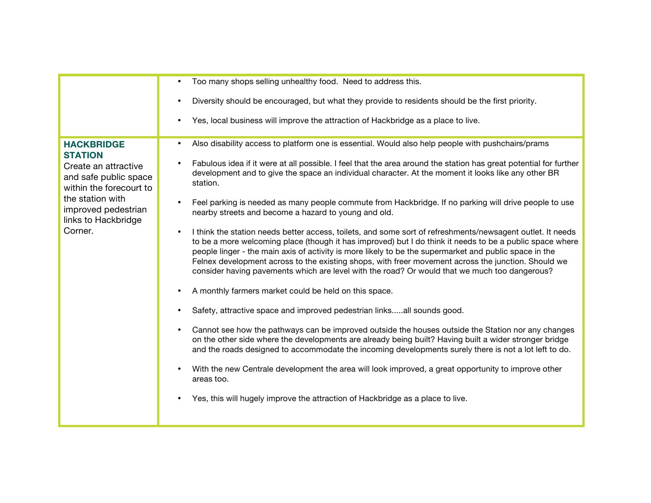|                                                                                                                                                                                              | Too many shops selling unhealthy food. Need to address this.                                                                                                                                                                                                                                                                                                                                                                                                                                                                                                                                                                                                                                                                                                                                                                                                                                                                                                                                                                                                                                                                                                                                                                                                                                                                                                                                                                                                                                                                                                                                                                                                                                                                                                     |
|----------------------------------------------------------------------------------------------------------------------------------------------------------------------------------------------|------------------------------------------------------------------------------------------------------------------------------------------------------------------------------------------------------------------------------------------------------------------------------------------------------------------------------------------------------------------------------------------------------------------------------------------------------------------------------------------------------------------------------------------------------------------------------------------------------------------------------------------------------------------------------------------------------------------------------------------------------------------------------------------------------------------------------------------------------------------------------------------------------------------------------------------------------------------------------------------------------------------------------------------------------------------------------------------------------------------------------------------------------------------------------------------------------------------------------------------------------------------------------------------------------------------------------------------------------------------------------------------------------------------------------------------------------------------------------------------------------------------------------------------------------------------------------------------------------------------------------------------------------------------------------------------------------------------------------------------------------------------|
|                                                                                                                                                                                              | Diversity should be encouraged, but what they provide to residents should be the first priority.                                                                                                                                                                                                                                                                                                                                                                                                                                                                                                                                                                                                                                                                                                                                                                                                                                                                                                                                                                                                                                                                                                                                                                                                                                                                                                                                                                                                                                                                                                                                                                                                                                                                 |
|                                                                                                                                                                                              | Yes, local business will improve the attraction of Hackbridge as a place to live.                                                                                                                                                                                                                                                                                                                                                                                                                                                                                                                                                                                                                                                                                                                                                                                                                                                                                                                                                                                                                                                                                                                                                                                                                                                                                                                                                                                                                                                                                                                                                                                                                                                                                |
| <b>HACKBRIDGE</b><br><b>STATION</b><br>Create an attractive<br>and safe public space<br>within the forecourt to<br>the station with<br>improved pedestrian<br>links to Hackbridge<br>Corner. | Also disability access to platform one is essential. Would also help people with pushchairs/prams<br>$\bullet$<br>Fabulous idea if it were at all possible. I feel that the area around the station has great potential for further<br>$\bullet$<br>development and to give the space an individual character. At the moment it looks like any other BR<br>station.<br>Feel parking is needed as many people commute from Hackbridge. If no parking will drive people to use<br>nearby streets and become a hazard to young and old.<br>I think the station needs better access, toilets, and some sort of refreshments/newsagent outlet. It needs<br>to be a more welcoming place (though it has improved) but I do think it needs to be a public space where<br>people linger - the main axis of activity is more likely to be the supermarket and public space in the<br>Felnex development across to the existing shops, with freer movement across the junction. Should we<br>consider having pavements which are level with the road? Or would that we much too dangerous?<br>A monthly farmers market could be held on this space.<br>Safety, attractive space and improved pedestrian linksall sounds good.<br>Cannot see how the pathways can be improved outside the houses outside the Station nor any changes<br>on the other side where the developments are already being built? Having built a wider stronger bridge<br>and the roads designed to accommodate the incoming developments surely there is not a lot left to do.<br>With the new Centrale development the area will look improved, a great opportunity to improve other<br>areas too.<br>Yes, this will hugely improve the attraction of Hackbridge as a place to live.<br>$\bullet$ |
|                                                                                                                                                                                              |                                                                                                                                                                                                                                                                                                                                                                                                                                                                                                                                                                                                                                                                                                                                                                                                                                                                                                                                                                                                                                                                                                                                                                                                                                                                                                                                                                                                                                                                                                                                                                                                                                                                                                                                                                  |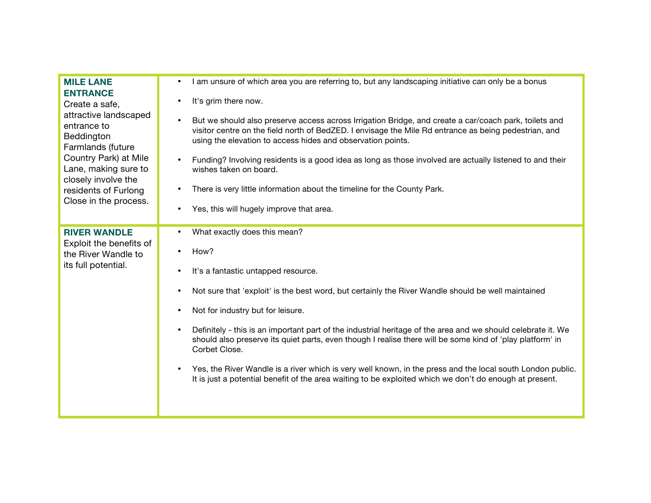| <b>MILE LANE</b><br><b>ENTRANCE</b><br>Create a safe,<br>attractive landscaped<br>entrance to<br>Beddington<br>Farmlands (future<br>Country Park) at Mile<br>Lane, making sure to<br>closely involve the<br>residents of Furlong<br>Close in the process. | I am unsure of which area you are referring to, but any landscaping initiative can only be a bonus<br>$\bullet$<br>It's grim there now.<br>$\bullet$<br>But we should also preserve access across Irrigation Bridge, and create a car/coach park, toilets and<br>visitor centre on the field north of BedZED. I envisage the Mile Rd entrance as being pedestrian, and<br>using the elevation to access hides and observation points.<br>Funding? Involving residents is a good idea as long as those involved are actually listened to and their<br>wishes taken on board.<br>There is very little information about the timeline for the County Park.<br>Yes, this will hugely improve that area.                                  |
|-----------------------------------------------------------------------------------------------------------------------------------------------------------------------------------------------------------------------------------------------------------|--------------------------------------------------------------------------------------------------------------------------------------------------------------------------------------------------------------------------------------------------------------------------------------------------------------------------------------------------------------------------------------------------------------------------------------------------------------------------------------------------------------------------------------------------------------------------------------------------------------------------------------------------------------------------------------------------------------------------------------|
| <b>RIVER WANDLE</b><br>Exploit the benefits of<br>the River Wandle to<br>its full potential.                                                                                                                                                              | What exactly does this mean?<br>How?<br>$\bullet$<br>It's a fantastic untapped resource.<br>Not sure that 'exploit' is the best word, but certainly the River Wandle should be well maintained<br>$\bullet$<br>Not for industry but for leisure.<br>$\bullet$<br>Definitely - this is an important part of the industrial heritage of the area and we should celebrate it. We<br>should also preserve its quiet parts, even though I realise there will be some kind of 'play platform' in<br>Corbet Close.<br>Yes, the River Wandle is a river which is very well known, in the press and the local south London public.<br>It is just a potential benefit of the area waiting to be exploited which we don't do enough at present. |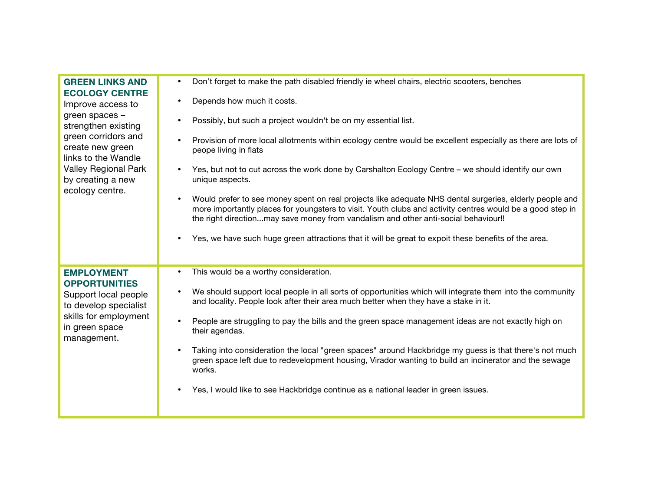| <b>GREEN LINKS AND</b>                                                                                                          | Don't forget to make the path disabled friendly ie wheel chairs, electric scooters, benches                                                                                                                                                                                                                |
|---------------------------------------------------------------------------------------------------------------------------------|------------------------------------------------------------------------------------------------------------------------------------------------------------------------------------------------------------------------------------------------------------------------------------------------------------|
| <b>ECOLOGY CENTRE</b><br>Improve access to                                                                                      | Depends how much it costs.                                                                                                                                                                                                                                                                                 |
| green spaces -<br>strengthen existing                                                                                           | Possibly, but such a project wouldn't be on my essential list.                                                                                                                                                                                                                                             |
| green corridors and<br>create new green<br>links to the Wandle                                                                  | Provision of more local allotments within ecology centre would be excellent especially as there are lots of<br>peope living in flats                                                                                                                                                                       |
| <b>Valley Regional Park</b><br>by creating a new                                                                                | Yes, but not to cut across the work done by Carshalton Ecology Centre - we should identify our own<br>unique aspects.                                                                                                                                                                                      |
| ecology centre.                                                                                                                 | Would prefer to see money spent on real projects like adequate NHS dental surgeries, elderly people and<br>more importantly places for youngsters to visit. Youth clubs and activity centres would be a good step in<br>the right directionmay save money from vandalism and other anti-social behaviour!! |
|                                                                                                                                 | Yes, we have such huge green attractions that it will be great to expoit these benefits of the area.                                                                                                                                                                                                       |
| <b>EMPLOYMENT</b>                                                                                                               | This would be a worthy consideration.<br>$\bullet$                                                                                                                                                                                                                                                         |
| <b>OPPORTUNITIES</b><br>Support local people<br>to develop specialist<br>skills for employment<br>in green space<br>management. | We should support local people in all sorts of opportunities which will integrate them into the community<br>and locality. People look after their area much better when they have a stake in it.                                                                                                          |
|                                                                                                                                 | People are struggling to pay the bills and the green space management ideas are not exactly high on<br>their agendas.                                                                                                                                                                                      |
|                                                                                                                                 | Taking into consideration the local "green spaces" around Hackbridge my guess is that there's not much<br>green space left due to redevelopment housing, Virador wanting to build an incinerator and the sewage<br>works.                                                                                  |
|                                                                                                                                 | Yes, I would like to see Hackbridge continue as a national leader in green issues.                                                                                                                                                                                                                         |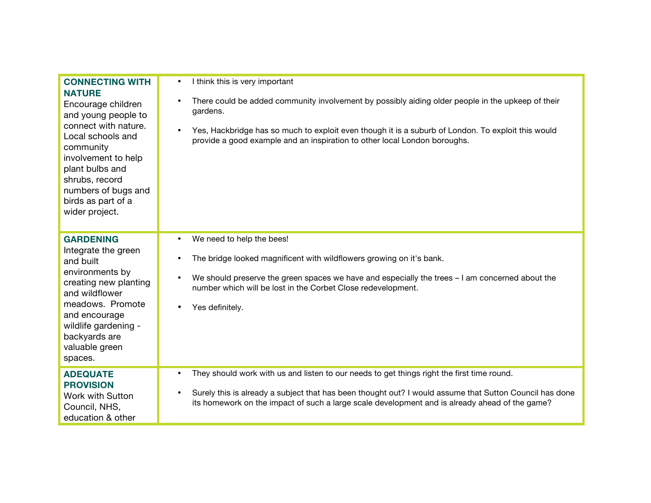| <b>CONNECTING WITH</b><br><b>NATURE</b><br>Encourage children<br>and young people to<br>connect with nature.<br>Local schools and<br>community<br>involvement to help<br>plant bulbs and                                      | I think this is very important<br>$\bullet$<br>There could be added community involvement by possibly aiding older people in the upkeep of their<br>gardens.<br>Yes, Hackbridge has so much to exploit even though it is a suburb of London. To exploit this would<br>provide a good example and an inspiration to other local London boroughs. |
|-------------------------------------------------------------------------------------------------------------------------------------------------------------------------------------------------------------------------------|-------------------------------------------------------------------------------------------------------------------------------------------------------------------------------------------------------------------------------------------------------------------------------------------------------------------------------------------------|
| shrubs, record<br>numbers of bugs and<br>birds as part of a<br>wider project.                                                                                                                                                 |                                                                                                                                                                                                                                                                                                                                                 |
| <b>GARDENING</b><br>Integrate the green<br>and built<br>environments by<br>creating new planting<br>and wildflower<br>meadows. Promote<br>and encourage<br>wildlife gardening -<br>backyards are<br>valuable green<br>spaces. | We need to help the bees!<br>The bridge looked magnificent with wildflowers growing on it's bank.<br>We should preserve the green spaces we have and especially the trees $-1$ am concerned about the<br>number which will be lost in the Corbet Close redevelopment.<br>Yes definitely.                                                        |
| <b>ADEQUATE</b><br><b>PROVISION</b><br>Work with Sutton<br>Council, NHS,<br>education & other                                                                                                                                 | They should work with us and listen to our needs to get things right the first time round.<br>$\bullet$<br>Surely this is already a subject that has been thought out? I would assume that Sutton Council has done<br>its homework on the impact of such a large scale development and is already ahead of the game?                            |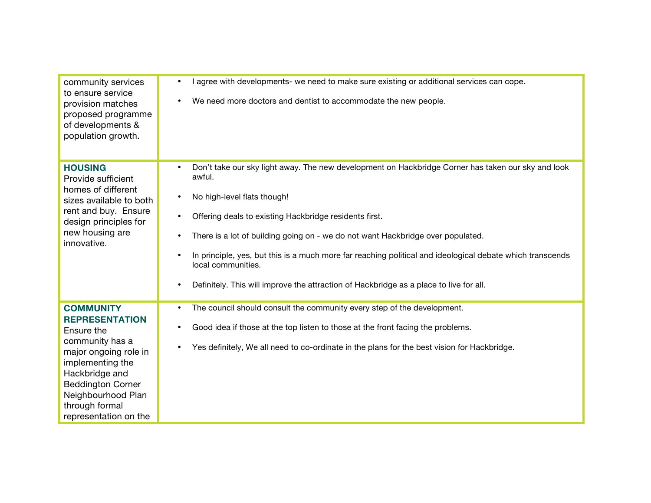| community services<br>to ensure service<br>provision matches<br>proposed programme<br>of developments &<br>population growth.                                                                                                          | I agree with developments- we need to make sure existing or additional services can cope.<br>$\bullet$<br>We need more doctors and dentist to accommodate the new people.                                                                                                                                                                                                                                                                                                                                             |
|----------------------------------------------------------------------------------------------------------------------------------------------------------------------------------------------------------------------------------------|-----------------------------------------------------------------------------------------------------------------------------------------------------------------------------------------------------------------------------------------------------------------------------------------------------------------------------------------------------------------------------------------------------------------------------------------------------------------------------------------------------------------------|
| <b>HOUSING</b><br>Provide sufficient<br>homes of different<br>sizes available to both<br>rent and buy. Ensure<br>design principles for<br>new housing are<br>innovative.                                                               | Don't take our sky light away. The new development on Hackbridge Corner has taken our sky and look<br>awful.<br>No high-level flats though!<br>Offering deals to existing Hackbridge residents first.<br>There is a lot of building going on - we do not want Hackbridge over populated.<br>In principle, yes, but this is a much more far reaching political and ideological debate which transcends<br>local communities.<br>Definitely. This will improve the attraction of Hackbridge as a place to live for all. |
| <b>COMMUNITY</b><br><b>REPRESENTATION</b><br>Ensure the<br>community has a<br>major ongoing role in<br>implementing the<br>Hackbridge and<br><b>Beddington Corner</b><br>Neighbourhood Plan<br>through formal<br>representation on the | The council should consult the community every step of the development.<br>Good idea if those at the top listen to those at the front facing the problems.<br>Yes definitely, We all need to co-ordinate in the plans for the best vision for Hackbridge.                                                                                                                                                                                                                                                             |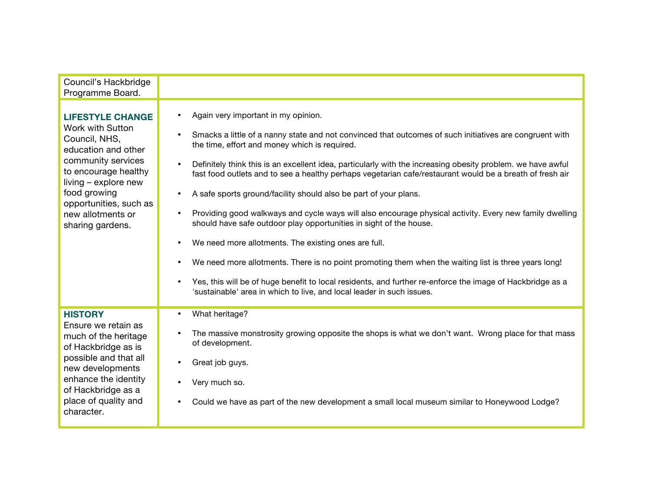| Council's Hackbridge<br>Programme Board.                                                                                                                                                                                                       |                                                                                                                                                                                                                                                                                                                                                                                                                                                                                                                                                                                                                                                                                                                                                                                                                                                                                                                                                                                                                                       |
|------------------------------------------------------------------------------------------------------------------------------------------------------------------------------------------------------------------------------------------------|---------------------------------------------------------------------------------------------------------------------------------------------------------------------------------------------------------------------------------------------------------------------------------------------------------------------------------------------------------------------------------------------------------------------------------------------------------------------------------------------------------------------------------------------------------------------------------------------------------------------------------------------------------------------------------------------------------------------------------------------------------------------------------------------------------------------------------------------------------------------------------------------------------------------------------------------------------------------------------------------------------------------------------------|
| <b>LIFESTYLE CHANGE</b><br>Work with Sutton<br>Council, NHS,<br>education and other<br>community services<br>to encourage healthy<br>$living - explore new$<br>food growing<br>opportunities, such as<br>new allotments or<br>sharing gardens. | Again very important in my opinion.<br>Smacks a little of a nanny state and not convinced that outcomes of such initiatives are congruent with<br>the time, effort and money which is required.<br>Definitely think this is an excellent idea, particularly with the increasing obesity problem. we have awful<br>fast food outlets and to see a healthy perhaps vegetarian cafe/restaurant would be a breath of fresh air<br>A safe sports ground/facility should also be part of your plans.<br>Providing good walkways and cycle ways will also encourage physical activity. Every new family dwelling<br>should have safe outdoor play opportunities in sight of the house.<br>We need more allotments. The existing ones are full.<br>We need more allotments. There is no point promoting them when the waiting list is three years long!<br>Yes, this will be of huge benefit to local residents, and further re-enforce the image of Hackbridge as a<br>'sustainable' area in which to live, and local leader in such issues. |
| <b>HISTORY</b><br>Ensure we retain as<br>much of the heritage<br>of Hackbridge as is<br>possible and that all<br>new developments<br>enhance the identity<br>of Hackbridge as a<br>place of quality and<br>character.                          | What heritage?<br>$\bullet$<br>The massive monstrosity growing opposite the shops is what we don't want. Wrong place for that mass<br>of development.<br>Great job guys.<br>Very much so.<br>Could we have as part of the new development a small local museum similar to Honeywood Lodge?                                                                                                                                                                                                                                                                                                                                                                                                                                                                                                                                                                                                                                                                                                                                            |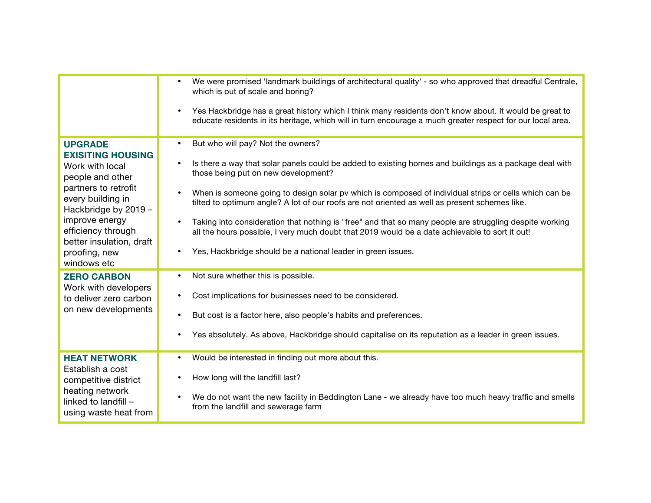|                                                                                                                                                                                                                                                            | We were promised 'landmark buildings of architectural quality' - so who approved that dreadful Centrale,<br>which is out of scale and boring?<br>Yes Hackbridge has a great history which I think many residents don't know about. It would be great to<br>educate residents in its heritage, which will in turn encourage a much greater respect for our local area.                                     |
|------------------------------------------------------------------------------------------------------------------------------------------------------------------------------------------------------------------------------------------------------------|-----------------------------------------------------------------------------------------------------------------------------------------------------------------------------------------------------------------------------------------------------------------------------------------------------------------------------------------------------------------------------------------------------------|
| <b>UPGRADE</b><br><b>EXISITING HOUSING</b><br>Work with local<br>people and other<br>partners to retrofit<br>every building in<br>Hackbridge by 2019 -<br>improve energy<br>efficiency through<br>better insulation, draft<br>proofing, new<br>windows etc | But who will pay? Not the owners?<br>$\bullet$<br>Is there a way that solar panels could be added to existing homes and buildings as a package deal with<br>those being put on new development?<br>When is someone going to design solar pv which is composed of individual strips or cells which can be<br>tilted to optimum angle? A lot of our roofs are not oriented as well as present schemes like. |
|                                                                                                                                                                                                                                                            | Taking into consideration that nothing is "free" and that so many people are struggling despite working<br>all the hours possible, I very much doubt that 2019 would be a date achievable to sort it out!<br>Yes, Hackbridge should be a national leader in green issues.                                                                                                                                 |
| <b>ZERO CARBON</b><br>Work with developers<br>to deliver zero carbon<br>on new developments                                                                                                                                                                | Not sure whether this is possible.<br>$\bullet$<br>Cost implications for businesses need to be considered.<br>But cost is a factor here, also people's habits and preferences.<br>Yes absolutely. As above, Hackbridge should capitalise on its reputation as a leader in green issues.<br>$\bullet$                                                                                                      |
| <b>HEAT NETWORK</b><br>Establish a cost<br>competitive district<br>heating network<br>linked to landfill -<br>using waste heat from                                                                                                                        | Would be interested in finding out more about this.<br>$\bullet$<br>How long will the landfill last?<br>We do not want the new facility in Beddington Lane - we already have too much heavy traffic and smells<br>from the landfill and sewerage farm                                                                                                                                                     |